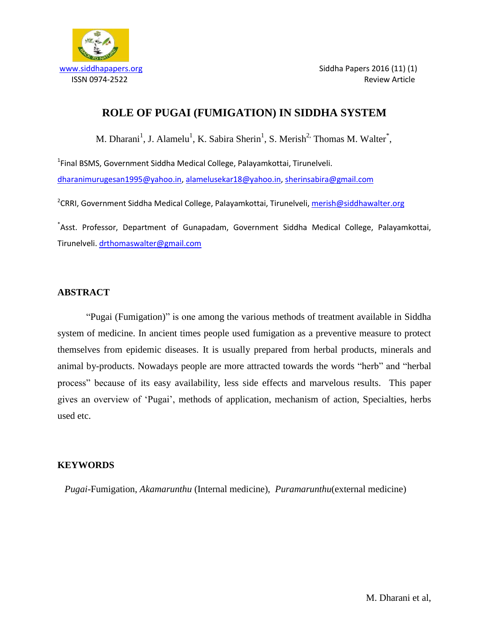

# **ROLE OF PUGAI (FUMIGATION) IN SIDDHA SYSTEM**

M. Dharani<sup>1</sup>, J. Alamelu<sup>1</sup>, K. Sabira Sherin<sup>1</sup>, S. Merish<sup>2,</sup> Thomas M. Walter<sup>\*</sup>,

<sup>1</sup>Final BSMS, Government Siddha Medical College, Palayamkottai, Tirunelveli. [dharanimurugesan1995@yahoo.in,](mailto:dharanimurugesan1995@yahoo.in) [alamelusekar18@yahoo.in,](mailto:alamelusekar18@yahoo.in) [sherinsabira@gmail.com](mailto:sherinsabira@gmail.com)

<sup>2</sup>CRRI, Government Siddha Medical College, Palayamkottai, Tirunelveli, <u>merish@siddhawalter.org</u>

\* Asst. Professor, Department of Gunapadam, Government Siddha Medical College, Palayamkottai, Tirunelveli. [drthomaswalter@gmail.com](mailto:drthomaswalter@gmail.com)

## **ABSTRACT**

"Pugai (Fumigation)" is one among the various methods of treatment available in Siddha system of medicine. In ancient times people used fumigation as a preventive measure to protect themselves from epidemic diseases. It is usually prepared from herbal products, minerals and animal by-products. Nowadays people are more attracted towards the words "herb" and "herbal process" because of its easy availability, less side effects and marvelous results. This paper gives an overview of "Pugai", methods of application, mechanism of action, Specialties, herbs used etc.

## **KEYWORDS**

 *Pugai*-Fumigation, *Akamarunthu* (Internal medicine), *Puramarunthu*(external medicine)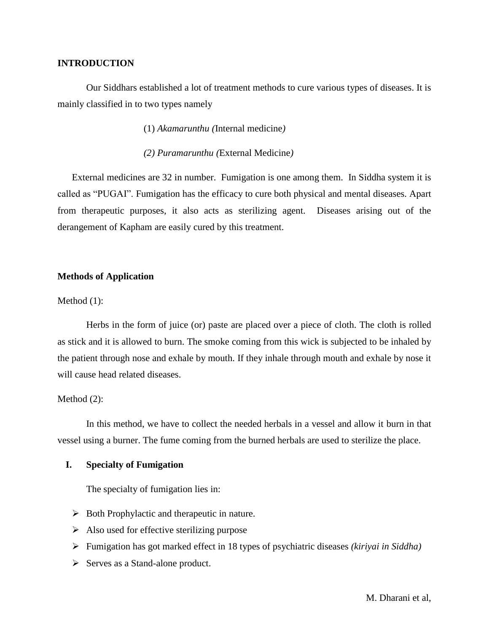## **INTRODUCTION**

Our Siddhars established a lot of treatment methods to cure various types of diseases. It is mainly classified in to two types namely

(1) *Akamarunthu (*Internal medicine*)*

*(2) Puramarunthu (*External Medicine*)*

External medicines are 32 in number. Fumigation is one among them. In Siddha system it is called as "PUGAI". Fumigation has the efficacy to cure both physical and mental diseases. Apart from therapeutic purposes, it also acts as sterilizing agent. Diseases arising out of the derangement of Kapham are easily cured by this treatment.

## **Methods of Application**

Method  $(1)$ :

Herbs in the form of juice (or) paste are placed over a piece of cloth. The cloth is rolled as stick and it is allowed to burn. The smoke coming from this wick is subjected to be inhaled by the patient through nose and exhale by mouth. If they inhale through mouth and exhale by nose it will cause head related diseases.

## Method (2):

In this method, we have to collect the needed herbals in a vessel and allow it burn in that vessel using a burner. The fume coming from the burned herbals are used to sterilize the place.

## **I. Specialty of Fumigation**

The specialty of fumigation lies in:

- $\triangleright$  Both Prophylactic and therapeutic in nature.
- $\triangleright$  Also used for effective sterilizing purpose
- Fumigation has got marked effect in 18 types of psychiatric diseases *(kiriyai in Siddha)*
- $\triangleright$  Serves as a Stand-alone product.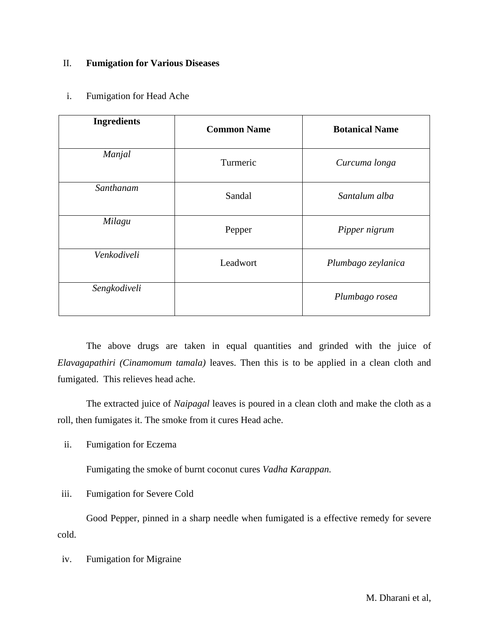## II. **Fumigation for Various Diseases**

## i. Fumigation for Head Ache

| <b>Ingredients</b> | <b>Common Name</b> | <b>Botanical Name</b> |
|--------------------|--------------------|-----------------------|
| Manjal             | Turmeric           | Curcuma longa         |
| Santhanam          | Sandal             | Santalum alba         |
| Milagu             | Pepper             | Pipper nigrum         |
| Venkodiveli        | Leadwort           | Plumbago zeylanica    |
| Sengkodiveli       |                    | Plumbago rosea        |

The above drugs are taken in equal quantities and grinded with the juice of *Elavagapathiri (Cinamomum tamala)* leaves. Then this is to be applied in a clean cloth and fumigated. This relieves head ache.

The extracted juice of *Naipagal* leaves is poured in a clean cloth and make the cloth as a roll, then fumigates it. The smoke from it cures Head ache.

ii. Fumigation for Eczema

Fumigating the smoke of burnt coconut cures *Vadha Karappan.*

iii. Fumigation for Severe Cold

Good Pepper, pinned in a sharp needle when fumigated is a effective remedy for severe cold.

iv. Fumigation for Migraine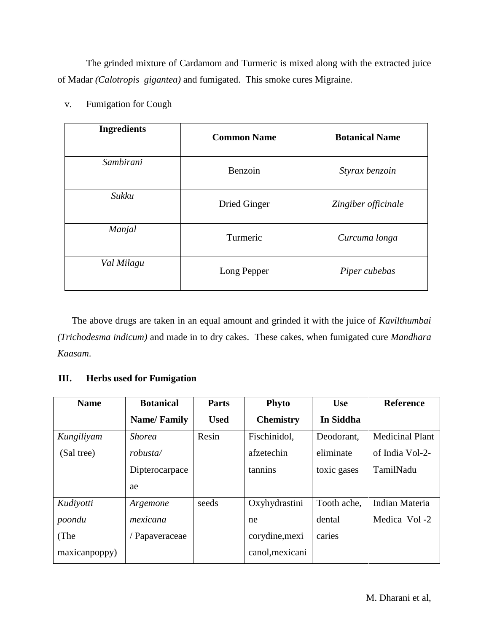The grinded mixture of Cardamom and Turmeric is mixed along with the extracted juice of Madar *(Calotropis gigantea)* and fumigated. This smoke cures Migraine.

| <b>Ingredients</b> | <b>Common Name</b>  | <b>Botanical Name</b> |
|--------------------|---------------------|-----------------------|
| Sambirani          | Benzoin             | Styrax benzoin        |
| Sukku              | <b>Dried Ginger</b> | Zingiber officinale   |
| Manjal             | Turmeric            | Curcuma longa         |
| Val Milagu         | Long Pepper         | Piper cubebas         |

v. Fumigation for Cough

The above drugs are taken in an equal amount and grinded it with the juice of *Kavilthumbai (Trichodesma indicum)* and made in to dry cakes. These cakes, when fumigated cure *Mandhara Kaasam*.

## **III. Herbs used for Fumigation**

| <b>Name</b>   | <b>Botanical</b>   | <b>Parts</b><br><b>Phyto</b><br><b>Use</b> |                  |             | <b>Reference</b>       |
|---------------|--------------------|--------------------------------------------|------------------|-------------|------------------------|
|               | <b>Name/Family</b> | <b>Used</b>                                | <b>Chemistry</b> | In Siddha   |                        |
| Kungiliyam    | <b>Shorea</b>      | Resin                                      | Fischinidol,     | Deodorant,  | <b>Medicinal Plant</b> |
| (Sal tree)    | robusta/           |                                            | afzetechin       | eliminate   | of India Vol-2-        |
|               | Dipterocarpace     |                                            | tannins          | toxic gases | TamilNadu              |
|               | ae                 |                                            |                  |             |                        |
| Kudiyotti     | Argemone           | seeds                                      | Oxyhydrastini    | Tooth ache, | Indian Materia         |
| poondu        | mexicana           |                                            | ne               | dental      | Medica Vol -2          |
| (The          | / Papaveraceae     |                                            | corydine, mexi   | caries      |                        |
| maxicanpoppy) |                    |                                            | canol, mexicani  |             |                        |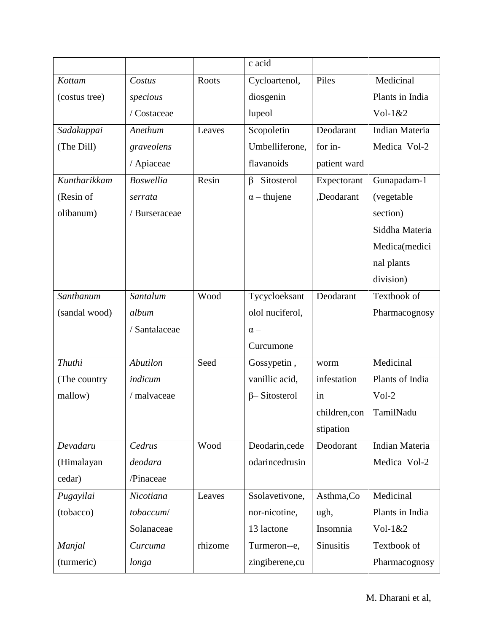|               |                  |         | c acid                     |                  |                       |
|---------------|------------------|---------|----------------------------|------------------|-----------------------|
| Kottam        | Costus           | Roots   | Piles<br>Cycloartenol,     |                  | Medicinal             |
| (costus tree) | specious         |         | diosgenin                  |                  | Plants in India       |
|               | / Costaceae      |         | lupeol                     |                  | $Vol-1&2$             |
| Sadakuppai    | Anethum          | Leaves  | Scopoletin                 | Deodarant        | Indian Materia        |
| (The Dill)    | graveolens       |         | Umbelliferone,             | for in-          | Medica Vol-2          |
|               | / Apiaceae       |         | flavanoids                 | patient ward     |                       |
| Kuntharikkam  | <b>Boswellia</b> | Resin   | $\beta$ -Sitosterol        | Expectorant      | Gunapadam-1           |
| (Resin of     | serrata          |         | $\alpha$ – thujene         | ,Deodarant       | (vegetable            |
| olibanum)     | / Burseraceae    |         |                            |                  | section)              |
|               |                  |         |                            |                  | Siddha Materia        |
|               |                  |         |                            |                  | Medica(medici         |
|               |                  |         |                            |                  | nal plants            |
|               |                  |         |                            |                  | division)             |
| Santhanum     | Santalum         | Wood    | Tycycloeksant<br>Deodarant |                  | Textbook of           |
| (sandal wood) | album            |         | olol nuciferol,            |                  | Pharmacognosy         |
|               | / Santalaceae    |         | $\alpha -$                 |                  |                       |
|               |                  |         | Curcumone                  |                  |                       |
| Thuthi        | <b>Abutilon</b>  | Seed    | Gossypetin,                | worm             | Medicinal             |
| (The country) | indicum          |         | vanillic acid,             | infestation      | Plants of India       |
| mallow)       | / malvaceae      |         | $\beta$ -Sitosterol        | in               | $Vol-2$               |
|               |                  |         |                            | children, con    | TamilNadu             |
|               |                  |         |                            | stipation        |                       |
| Devadaru      | Cedrus           | Wood    | Deodarin, cede             | Deodorant        | <b>Indian Materia</b> |
| (Himalayan    | deodara          |         | odarincedrusin             |                  | Medica Vol-2          |
| cedar)        | /Pinaceae        |         |                            |                  |                       |
| Pugayilai     | Nicotiana        | Leaves  | Ssolavetivone,             | Asthma, Co       | Medicinal             |
| (tobacco)     | tobaccum/        |         | nor-nicotine,              | ugh,             | Plants in India       |
|               | Solanaceae       |         | 13 lactone                 | Insomnia         | Vol- $1&82$           |
| Manjal        | Curcuma          | rhizome | Turmeron--e,               | <b>Sinusitis</b> | Textbook of           |
| (turmeric)    | longa            |         | zingiberene, cu            |                  | Pharmacognosy         |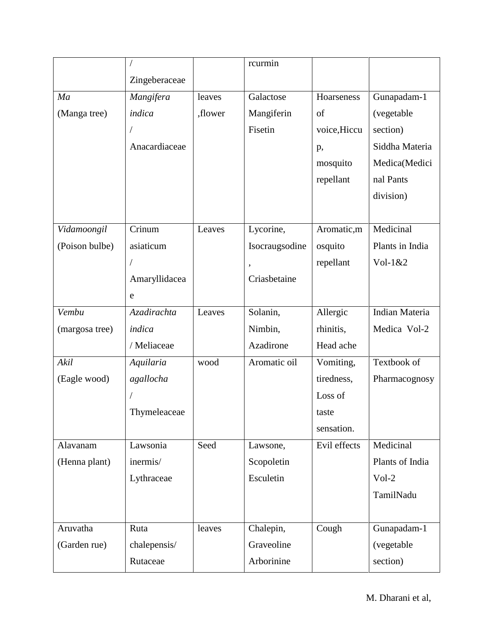|                |               |         | rcurmin        |              |                 |
|----------------|---------------|---------|----------------|--------------|-----------------|
|                | Zingeberaceae |         |                |              |                 |
| Ma             | Mangifera     | leaves  | Galactose      | Hoarseness   | Gunapadam-1     |
| (Manga tree)   | indica        | ,flower | Mangiferin     | of           | (vegetable      |
|                |               |         | Fisetin        | voice, Hiccu | section)        |
|                | Anacardiaceae |         |                | p,           | Siddha Materia  |
|                |               |         |                | mosquito     | Medica(Medici   |
|                |               |         |                | repellant    | nal Pants       |
|                |               |         |                |              | division)       |
|                |               |         |                |              |                 |
| Vidamoongil    | Crinum        | Leaves  | Lycorine,      | Aromatic,m   | Medicinal       |
| (Poison bulbe) | asiaticum     |         | Isocraugsodine | osquito      | Plants in India |
|                |               |         |                | repellant    | $Vol-1&2$       |
|                | Amaryllidacea |         | Criasbetaine   |              |                 |
|                | e             |         |                |              |                 |
| Vembu          | Azadirachta   | Leaves  | Solanin,       | Allergic     | Indian Materia  |
| (margosa tree) | indica        |         | Nimbin,        | rhinitis,    | Medica Vol-2    |
|                | / Meliaceae   |         | Azadirone      | Head ache    |                 |
| Akil           | Aquilaria     | wood    | Aromatic oil   | Vomiting,    | Textbook of     |
| (Eagle wood)   | agallocha     |         |                | tiredness,   | Pharmacognosy   |
|                |               |         |                | Loss of      |                 |
|                | Thymeleaceae  |         |                | taste        |                 |
|                |               |         |                | sensation.   |                 |
| Alavanam       | Lawsonia      | Seed    | Lawsone,       | Evil effects | Medicinal       |
| (Henna plant)  | inermis/      |         | Scopoletin     |              | Plants of India |
|                | Lythraceae    |         | Esculetin      |              | $Vol-2$         |
|                |               |         |                |              | TamilNadu       |
|                |               |         |                |              |                 |
| Aruvatha       | Ruta          | leaves  | Chalepin,      | Cough        | Gunapadam-1     |
| (Garden rue)   | chalepensis/  |         | Graveoline     |              | (vegetable      |
|                | Rutaceae      |         | Arborinine     |              | section)        |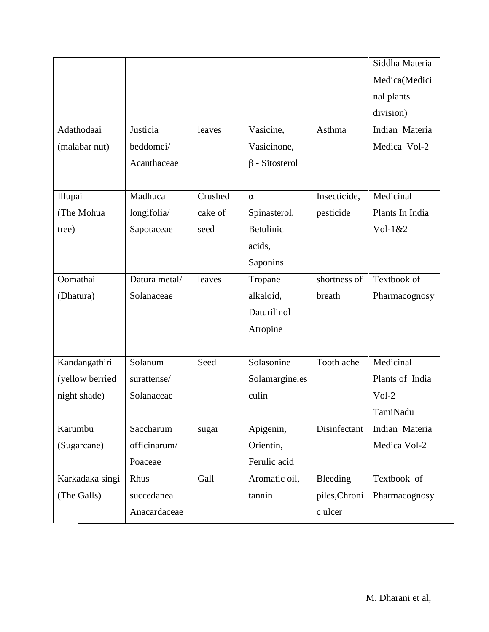|                 |               |         |                      |               | Siddha Materia  |
|-----------------|---------------|---------|----------------------|---------------|-----------------|
|                 |               |         |                      |               | Medica(Medici   |
|                 |               |         |                      |               | nal plants      |
|                 |               |         |                      |               | division)       |
| Adathodaai      | Justicia      | leaves  | Vasicine,            | Asthma        | Indian Materia  |
| (malabar nut)   | beddomei/     |         | Vasicinone,          |               | Medica Vol-2    |
|                 | Acanthaceae   |         | $\beta$ - Sitosterol |               |                 |
|                 |               |         |                      |               |                 |
| Illupai         | Madhuca       | Crushed | $\alpha -$           | Insecticide,  | Medicinal       |
| (The Mohua      | longifolia/   | cake of | Spinasterol,         | pesticide     | Plants In India |
| tree)           | Sapotaceae    | seed    | Betulinic            |               | $Vol-1&2$       |
|                 |               |         | acids,               |               |                 |
|                 |               |         | Saponins.            |               |                 |
| Oomathai        | Datura metal/ | leaves  | Tropane              | shortness of  | Textbook of     |
| (Dhatura)       | Solanaceae    |         | alkaloid,            | breath        | Pharmacognosy   |
|                 |               |         | Daturilinol          |               |                 |
|                 |               |         | Atropine             |               |                 |
|                 |               |         |                      |               |                 |
| Kandangathiri   | Solanum       | Seed    | Solasonine           | Tooth ache    | Medicinal       |
| (yellow berried | surattense/   |         | Solamargine, es      |               | Plants of India |
| night shade)    | Solanaceae    |         | culin                |               | $Vol-2$         |
|                 |               |         |                      |               | TamiNadu        |
| Karumbu         | Saccharum     | sugar   | Apigenin,            | Disinfectant  | Indian Materia  |
| (Sugarcane)     | officinarum/  |         | Orientin,            |               | Medica Vol-2    |
|                 | Poaceae       |         | Ferulic acid         |               |                 |
| Karkadaka singi | Rhus          | Gall    | Aromatic oil,        | Bleeding      | Textbook of     |
| (The Galls)     | succedanea    |         | tannin               | piles, Chroni | Pharmacognosy   |
|                 | Anacardaceae  |         |                      | c ulcer       |                 |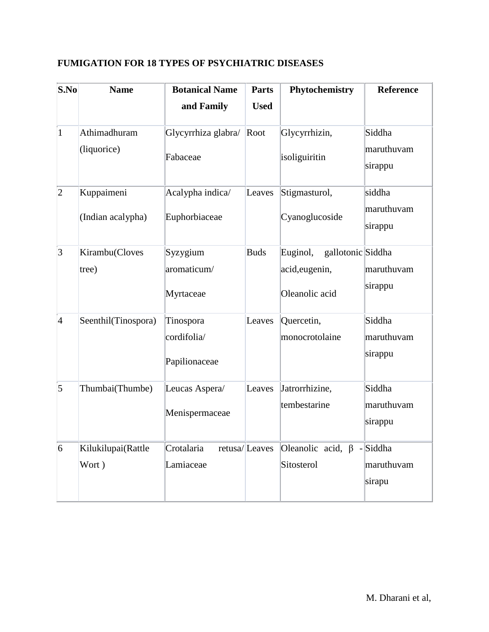| $ {\bf S.No} $  | <b>Name</b>         | <b>Botanical Name</b> | <b>Parts</b>  | Phytochemistry                   | <b>Reference</b>      |
|-----------------|---------------------|-----------------------|---------------|----------------------------------|-----------------------|
|                 |                     | and Family            | <b>Used</b>   |                                  |                       |
| $\mathbf{1}$    | Athimadhuram        | Glycyrrhiza glabra/   | Root          | Glycyrrhizin,                    | Siddha                |
|                 | (liquorice)         | Fabaceae              |               | isoliguiritin                    | maruthuvam<br>sirappu |
| $ 2\rangle$     | Kuppaimeni          | Acalypha indica/      | Leaves        | Stigmasturol,                    | siddha                |
|                 | (Indian acalypha)   | Euphorbiaceae         |               | Cyanoglucoside                   | maruthuvam<br>sirappu |
| $\vert 3 \vert$ | Kirambu(Cloves      | Syzygium              | <b>Buds</b>   | Euginol,<br>gallotonic Siddha    |                       |
|                 | tree)               | aromaticum/           |               | acid, eugenin,                   | maruthuvam            |
|                 |                     | Myrtaceae             |               | Oleanolic acid                   | sirappu               |
| 4               | Seenthil(Tinospora) | Tinospora             | Leaves        | Quercetin,                       | Siddha                |
|                 |                     | cordifolia/           |               | monocrotolaine                   | maruthuvam            |
|                 |                     | Papilionaceae         |               |                                  | sirappu               |
| $\overline{5}$  | Thumbai(Thumbe)     | Leucas Aspera/        | Leaves        | Jatrorrhizine,                   | Siddha                |
|                 |                     | Menispermaceae        |               | tembestarine                     | maruthuvam<br>sirappu |
| $\overline{6}$  | Kilukilupai(Rattle  | Crotalaria            | retusa/Leaves | Oleanolic acid, $\beta$ - Siddha |                       |
|                 | Wort)               | Lamiaceae             |               | Sitosterol                       | maruthuvam            |
|                 |                     |                       |               |                                  | sirapu                |
|                 |                     |                       |               |                                  |                       |

# **FUMIGATION FOR 18 TYPES OF PSYCHIATRIC DISEASES**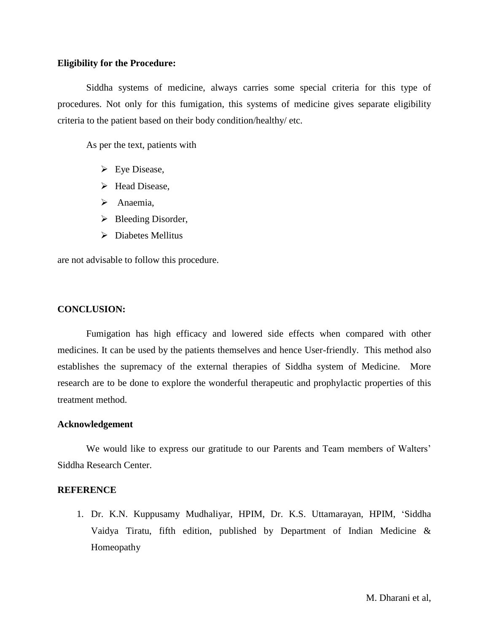## **Eligibility for the Procedure:**

Siddha systems of medicine, always carries some special criteria for this type of procedures. Not only for this fumigation, this systems of medicine gives separate eligibility criteria to the patient based on their body condition/healthy/ etc.

As per the text, patients with

- $\triangleright$  Eye Disease,
- Head Disease,
- $\triangleright$  Anaemia,
- $\triangleright$  Bleeding Disorder,
- $\triangleright$  Diabetes Mellitus

are not advisable to follow this procedure.

## **CONCLUSION:**

Fumigation has high efficacy and lowered side effects when compared with other medicines. It can be used by the patients themselves and hence User-friendly. This method also establishes the supremacy of the external therapies of Siddha system of Medicine. More research are to be done to explore the wonderful therapeutic and prophylactic properties of this treatment method.

## **Acknowledgement**

We would like to express our gratitude to our Parents and Team members of Walters' Siddha Research Center.

## **REFERENCE**

1. Dr. K.N. Kuppusamy Mudhaliyar, HPIM, Dr. K.S. Uttamarayan, HPIM, "Siddha Vaidya Tiratu, fifth edition, published by Department of Indian Medicine & Homeopathy